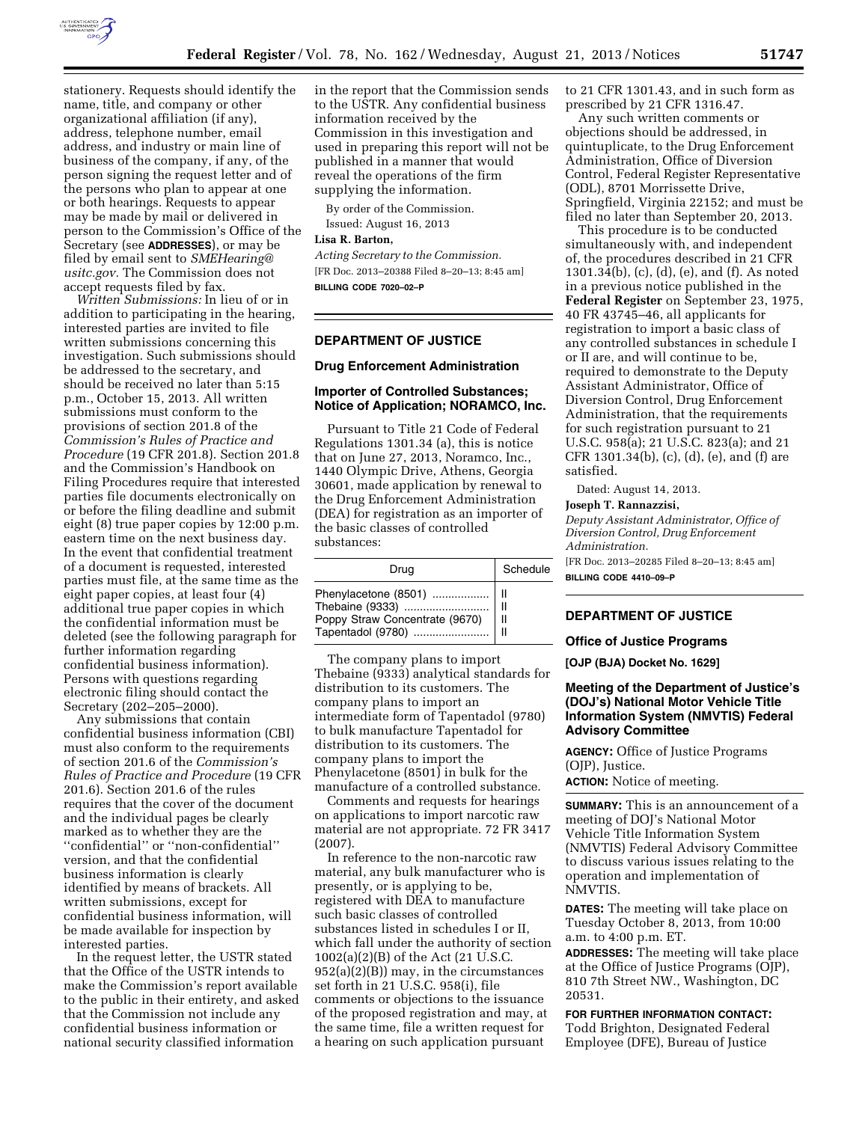

stationery. Requests should identify the name, title, and company or other organizational affiliation (if any), address, telephone number, email address, and industry or main line of business of the company, if any, of the person signing the request letter and of the persons who plan to appear at one or both hearings. Requests to appear may be made by mail or delivered in person to the Commission's Office of the Secretary (see **ADDRESSES**), or may be filed by email sent to *[SMEHearing@](mailto:SMEHearing@usitc.gov) [usitc.gov.](mailto:SMEHearing@usitc.gov)* The Commission does not accept requests filed by fax.

*Written Submissions:* In lieu of or in addition to participating in the hearing, interested parties are invited to file written submissions concerning this investigation. Such submissions should be addressed to the secretary, and should be received no later than 5:15 p.m., October 15, 2013. All written submissions must conform to the provisions of section 201.8 of the *Commission's Rules of Practice and Procedure* (19 CFR 201.8). Section 201.8 and the Commission's Handbook on Filing Procedures require that interested parties file documents electronically on or before the filing deadline and submit eight (8) true paper copies by 12:00 p.m. eastern time on the next business day. In the event that confidential treatment of a document is requested, interested parties must file, at the same time as the eight paper copies, at least four (4) additional true paper copies in which the confidential information must be deleted (see the following paragraph for further information regarding confidential business information). Persons with questions regarding electronic filing should contact the Secretary (202–205–2000).

Any submissions that contain confidential business information (CBI) must also conform to the requirements of section 201.6 of the *Commission's Rules of Practice and Procedure* (19 CFR 201.6). Section 201.6 of the rules requires that the cover of the document and the individual pages be clearly marked as to whether they are the ''confidential'' or ''non-confidential'' version, and that the confidential business information is clearly identified by means of brackets. All written submissions, except for confidential business information, will be made available for inspection by interested parties.

In the request letter, the USTR stated that the Office of the USTR intends to make the Commission's report available to the public in their entirety, and asked that the Commission not include any confidential business information or national security classified information

in the report that the Commission sends to the USTR. Any confidential business information received by the Commission in this investigation and used in preparing this report will not be published in a manner that would reveal the operations of the firm supplying the information.

By order of the Commission.

# Issued: August 16, 2013

# **Lisa R. Barton,**

*Acting Secretary to the Commission.*  [FR Doc. 2013–20388 Filed 8–20–13; 8:45 am] **BILLING CODE 7020–02–P** 

# **DEPARTMENT OF JUSTICE**

#### **Drug Enforcement Administration**

### **Importer of Controlled Substances; Notice of Application; NORAMCO, Inc.**

Pursuant to Title 21 Code of Federal Regulations 1301.34 (a), this is notice that on June 27, 2013, Noramco, Inc., 1440 Olympic Drive, Athens, Georgia 30601, made application by renewal to the Drug Enforcement Administration (DEA) for registration as an importer of the basic classes of controlled substances:

| Drug                                                                                   | Schedule     |
|----------------------------------------------------------------------------------------|--------------|
| Phenylacetone (8501)    II<br>Poppy Straw Concentrate (9670)<br>Tapentadol (9780)   II | $\mathsf{I}$ |

The company plans to import Thebaine (9333) analytical standards for distribution to its customers. The company plans to import an intermediate form of Tapentadol (9780) to bulk manufacture Tapentadol for distribution to its customers. The company plans to import the Phenylacetone (8501) in bulk for the manufacture of a controlled substance.

Comments and requests for hearings on applications to import narcotic raw material are not appropriate. 72 FR 3417 (2007).

In reference to the non-narcotic raw material, any bulk manufacturer who is presently, or is applying to be, registered with DEA to manufacture such basic classes of controlled substances listed in schedules I or II, which fall under the authority of section 1002(a)(2)(B) of the Act (21 U.S.C. 952(a)(2)(B)) may, in the circumstances set forth in 21 U.S.C. 958(i), file comments or objections to the issuance of the proposed registration and may, at the same time, file a written request for a hearing on such application pursuant

to 21 CFR 1301.43, and in such form as prescribed by 21 CFR 1316.47.

Any such written comments or objections should be addressed, in quintuplicate, to the Drug Enforcement Administration, Office of Diversion Control, Federal Register Representative (ODL), 8701 Morrissette Drive, Springfield, Virginia 22152; and must be filed no later than September 20, 2013.

This procedure is to be conducted simultaneously with, and independent of, the procedures described in 21 CFR 1301.34(b), (c), (d), (e), and (f). As noted in a previous notice published in the **Federal Register** on September 23, 1975, 40 FR 43745–46, all applicants for registration to import a basic class of any controlled substances in schedule I or II are, and will continue to be, required to demonstrate to the Deputy Assistant Administrator, Office of Diversion Control, Drug Enforcement Administration, that the requirements for such registration pursuant to 21 U.S.C. 958(a); 21 U.S.C. 823(a); and 21 CFR 1301.34(b), (c), (d), (e), and (f) are satisfied.

Dated: August 14, 2013.

### **Joseph T. Rannazzisi,**

*Deputy Assistant Administrator, Office of Diversion Control, Drug Enforcement Administration.* 

[FR Doc. 2013–20285 Filed 8–20–13; 8:45 am] **BILLING CODE 4410–09–P** 

### **DEPARTMENT OF JUSTICE**

#### **Office of Justice Programs**

**[OJP (BJA) Docket No. 1629]** 

### **Meeting of the Department of Justice's (DOJ's) National Motor Vehicle Title Information System (NMVTIS) Federal Advisory Committee**

**AGENCY:** Office of Justice Programs (OJP), Justice. **ACTION:** Notice of meeting.

**SUMMARY:** This is an announcement of a meeting of DOJ's National Motor Vehicle Title Information System (NMVTIS) Federal Advisory Committee to discuss various issues relating to the operation and implementation of NMVTIS.

**DATES:** The meeting will take place on Tuesday October 8, 2013, from 10:00 a.m. to 4:00 p.m. ET.

**ADDRESSES:** The meeting will take place at the Office of Justice Programs (OJP), 810 7th Street NW., Washington, DC 20531.

**FOR FURTHER INFORMATION CONTACT:**  Todd Brighton, Designated Federal Employee (DFE), Bureau of Justice